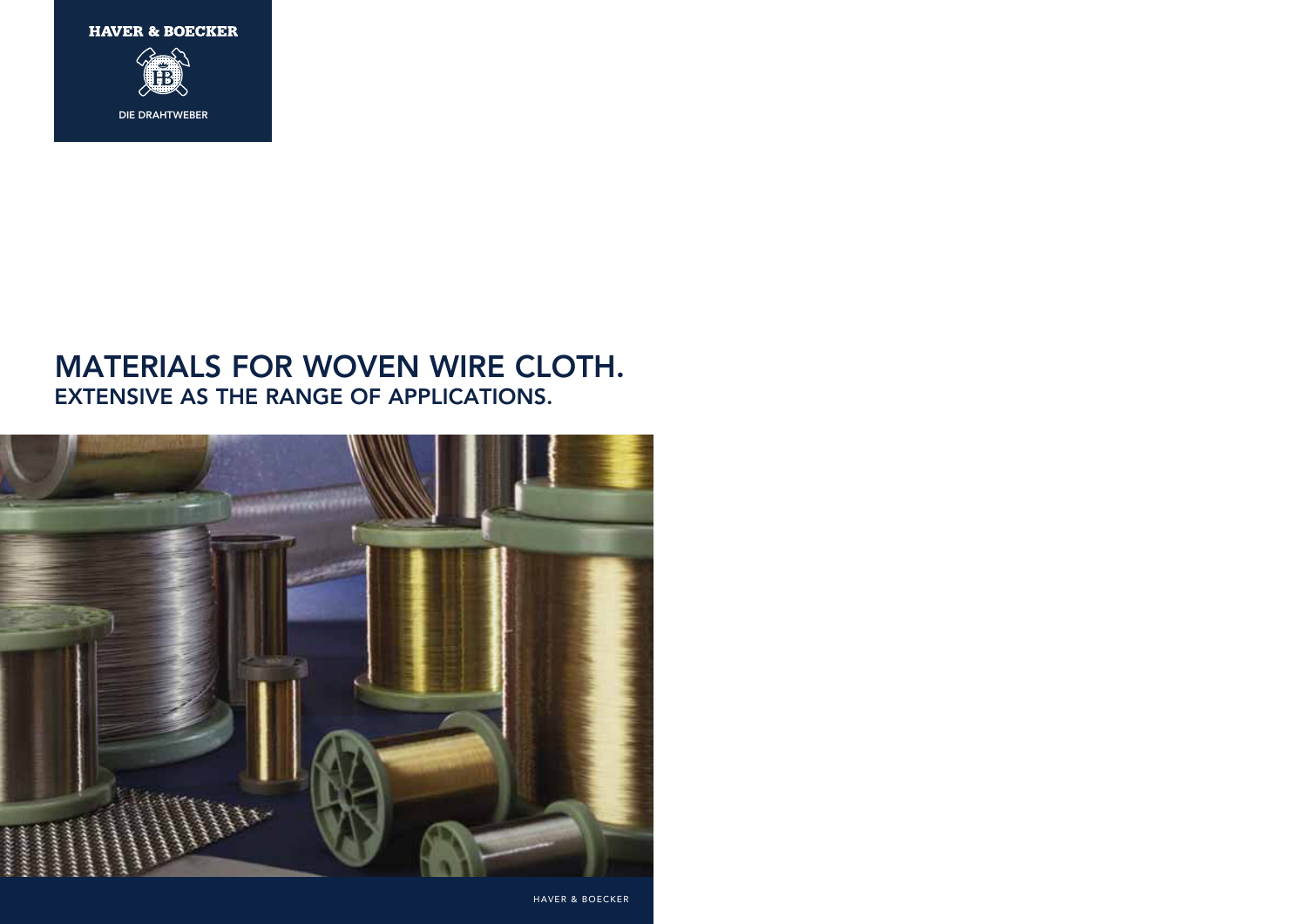**HAVER & BOECKER** 



DIE DRAHTWEBER

# **MATERIALS FOR WOVEN WIRE CLOTH. EXTENSIVE AS THE RANGE OF APPLICATIONS.**



HAVER & BOECKER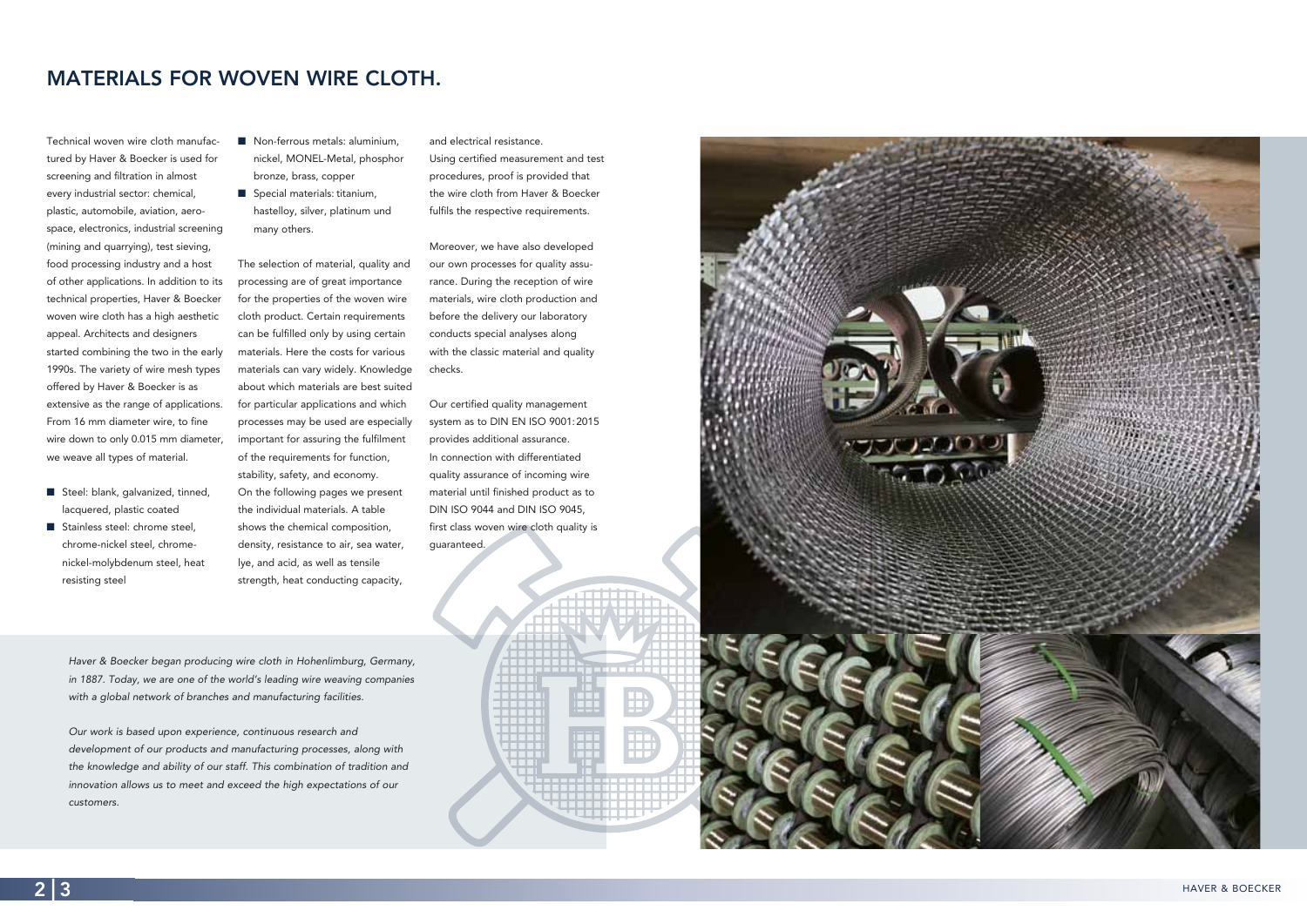Technical woven wire cloth manufactured by Haver & Boecker is used for screening and filtration in almost every industrial sector: chemical, plastic, automobile, aviation, aerospace, electronics, industrial screening (mining and quarrying), test sieving, food processing industry and a host of other applications. In addition to its technical properties, Haver & Boecker woven wire cloth has a high aesthetic appeal. Architects and designers started combining the two in the early 1990s. The variety of wire mesh types offered by Haver & Boecker is as extensive as the range of applications. From 16 mm diameter wire, to fine wire down to only 0.015 mm diameter, we weave all types of material.

- Steel: blank, galvanized, tinned, lacquered, plastic coated
- $\blacksquare$  Stainless steel: chrome steel, chrome-nickel steel, chromenickel-molybdenum steel, heat resisting steel
- $\blacksquare$  Non-ferrous metals: aluminium, nickel, MONEL-Metal, phosphor bronze, brass, copper
- $\blacksquare$  Special materials: titanium, hastelloy, silver, platinum und many others.

# **MATERIALS FOR WOVEN WIRE CLOTH.**

The selection of material, quality and processing are of great importance for the properties of the woven wire cloth product. Certain requirements can be fulfilled only by using certain materials. Here the costs for various materials can vary widely. Knowledge about which materials are best suited for particular applications and which processes may be used are especially important for assuring the fulfilment of the requirements for function, stability, safety, and economy. On the following pages we present the individual materials. A table shows the chemical composition, density, resistance to air, sea water, lye, and acid, as well as tensile

strength, heat conducting capacity,

and electrical resistance.

Using certified measurement and test procedures, proof is provided that the wire cloth from Haver & Boecker fulfils the respective requirements.

Moreover, we have also developed our own processes for quality assurance. During the reception of wire materials, wire cloth production and before the delivery our laboratory conducts special analyses along with the classic material and quality checks.

Our certified quality management system as to DIN EN ISO 9001:2015 provides additional assurance. In connection with differentiated quality assurance of incoming wire material until finished product as to DIN ISO 9044 and DIN ISO 9045, first class woven wire cloth quality is guaranteed.

B

Haver & Boecker began producing wire cloth in Hohenlimburg, Germany, in 1887. Today, we are one of the world's leading wire weaving companies with a global network of branches and manufacturing facilities.

Our work is based upon experience, continuous research and development of our products and manufacturing processes, along with the knowledge and ability of our staff. This combination of tradition and innovation allows us to meet and exceed the high expectations of our customers.

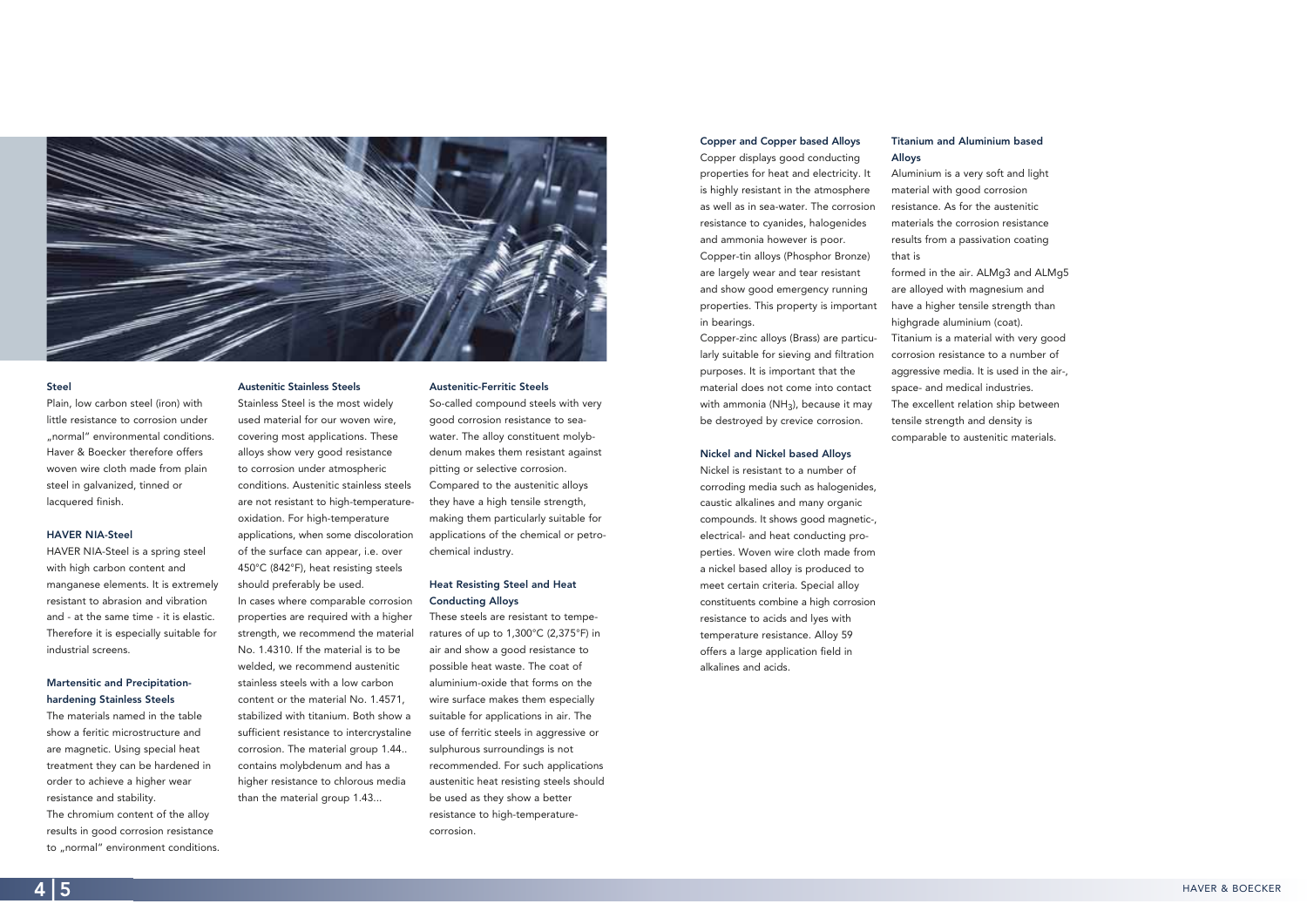#### **Austenitic Stainless Steels**

Stainless Steel is the most widely used material for our woven wire, covering most applications. These alloys show very good resistance to corrosion under atmospheric conditions. Austenitic stainless steels are not resistant to high-temperatureoxidation. For high-temperature applications, when some discoloration of the surface can appear, i.e. over 450°C (842°F), heat resisting steels should preferably be used. In cases where comparable corrosion

properties are required with a higher strength, we recommend the material No. 1.4310. If the material is to be welded, we recommend austenitic stainless steels with a low carbon content or the material No. 1.4571, stabilized with titanium. Both show a sufficient resistance to intercrystaline corrosion. The material group 1.44.. contains molybdenum and has a higher resistance to chlorous media than the material group 1.43...

#### **Austenitic-Ferritic Steels**

So-called compound steels with very good corrosion resistance to seawater. The alloy constituent molybdenum makes them resistant against pitting or selective corrosion. Compared to the austenitic alloys they have a high tensile strength, making them particularly suitable for applications of the chemical or petrochemical industry.

The chromium content of the alloy results in good corrosion resistance to "normal" environment conditions.

### **Heat Resisting Steel and Heat Conducting Alloys**

These steels are resistant to temperatures of up to 1,300°C (2,375°F) in air and show a good resistance to possible heat waste. The coat of aluminium-oxide that forms on the wire surface makes them especially suitable for applications in air. The use of ferritic steels in aggressive or sulphurous surroundings is not recommended. For such applications austenitic heat resisting steels should be used as they show a better resistance to high-temperaturecorrosion.



### **Steel**

Plain, low carbon steel (iron) with little resistance to corrosion under "normal" environmental conditions. Haver & Boecker therefore offers woven wire cloth made from plain steel in galvanized, tinned or lacquered finish.

#### **HAVER NIA-Steel**

HAVER NIA-Steel is a spring steel with high carbon content and manganese elements. It is extremely resistant to abrasion and vibration and - at the same time - it is elastic. Therefore it is especially suitable for industrial screens.

### **Martensitic and Precipitationhardening Stainless Steels**

The materials named in the table show a feritic microstructure and are magnetic. Using special heat treatment they can be hardened in order to achieve a higher wear resistance and stability.

### **Titanium and Aluminium based**

**Alloys**  Aluminium is a very soft and light material with good corrosion resistance. As for the austenitic materials the corrosion resistance results from a passivation coating

that is

formed in the air. ALMg3 and ALMg5 are alloyed with magnesium and have a higher tensile strength than highgrade aluminium (coat). Titanium is a material with very good corrosion resistance to a number of aggressive media. It is used in the air-, space- and medical industries. The excellent relation ship between tensile strength and density is comparable to austenitic materials.

### **Copper and Copper based Alloys**

Copper displays good conducting properties for heat and electricity. It is highly resistant in the atmosphere as well as in sea-water. The corrosion resistance to cyanides, halogenides and ammonia however is poor.

Copper-tin alloys (Phosphor Bronze) are largely wear and tear resistant and show good emergency running properties. This property is important in bearings.

Copper-zinc alloys (Brass) are particularly suitable for sieving and filtration purposes. It is important that the material does not come into contact with ammonia (NH<sub>3</sub>), because it may be destroyed by crevice corrosion.

#### **Nickel and Nickel based Alloys**

Nickel is resistant to a number of corroding media such as halogenides, caustic alkalines and many organic compounds. It shows good magnetic-, electrical- and heat conducting properties. Woven wire cloth made from a nickel based alloy is produced to meet certain criteria. Special alloy constituents combine a high corrosion resistance to acids and lyes with temperature resistance. Alloy 59 offers a large application field in alkalines and acids.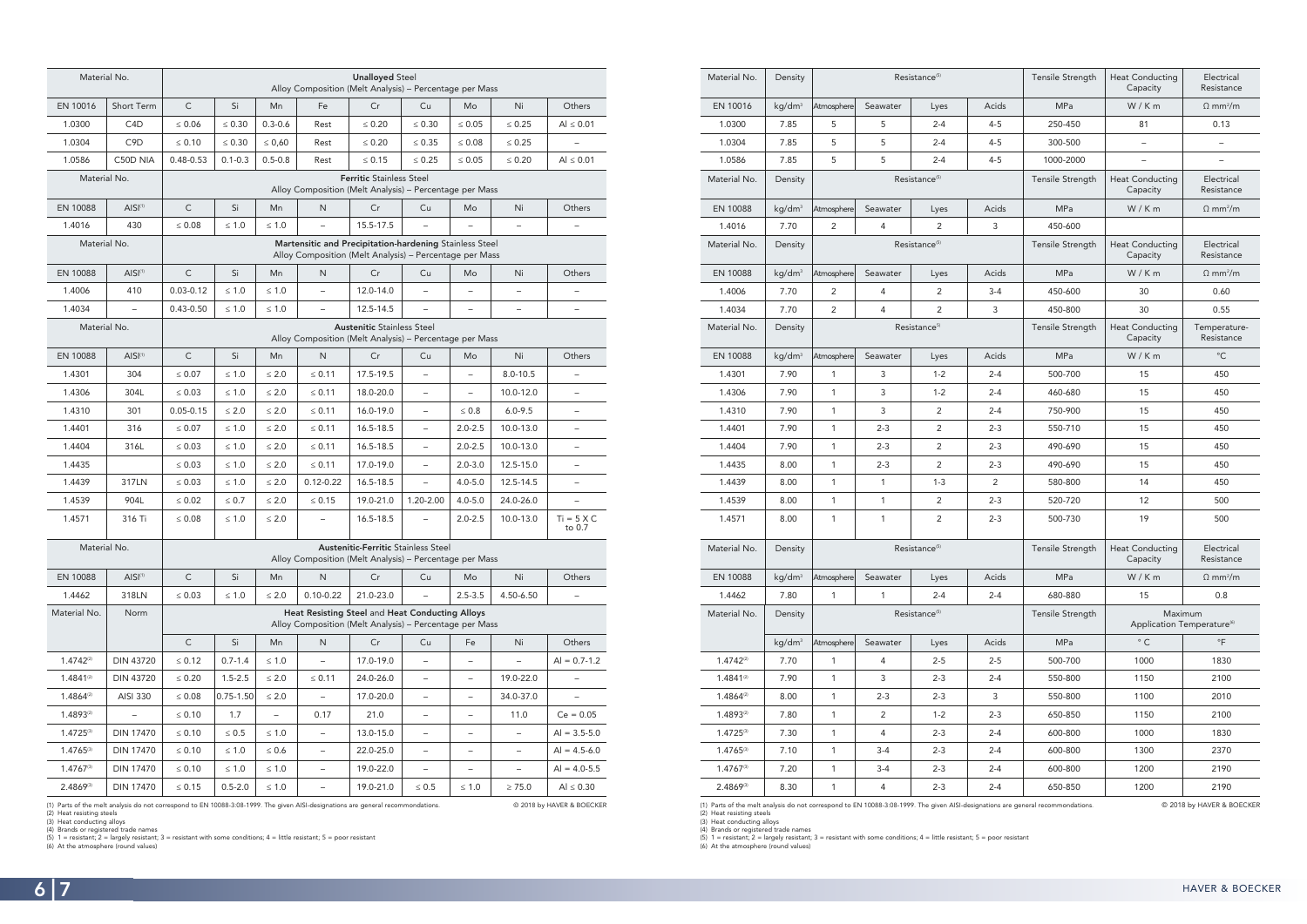© 2018 by HAVER & BOECKER

| Material No.    | Density            |                |                                | Resistance <sup>(5)</sup> |                | Tensile Strength        | <b>Heat Conducting</b><br>Capacity                | Electrical<br>Resistance    |  |
|-----------------|--------------------|----------------|--------------------------------|---------------------------|----------------|-------------------------|---------------------------------------------------|-----------------------------|--|
| EN 10016        | kg/dm <sup>3</sup> | Atmosphere     | Seawater                       | Lyes                      | Acids          | <b>MPa</b>              | W/Km                                              | $\Omega$ mm <sup>2</sup> /m |  |
| 1.0300          | 7.85               | 5              | 5                              | $2 - 4$                   | $4 - 5$        | 250-450                 | 81                                                | 0.13                        |  |
| 1.0304          | 7.85               | 5              | 5                              | $2 - 4$                   | $4 - 5$        | 300-500                 | $\qquad \qquad -$                                 | $\overline{\phantom{a}}$    |  |
| 1.0586          | 7.85               | 5              | 5                              | $2 - 4$                   | $4 - 5$        | 1000-2000               | $\overline{\phantom{0}}$                          |                             |  |
| Material No.    | Density            |                |                                | Resistance <sup>(5)</sup> |                | Tensile Strength        | <b>Heat Conducting</b><br>Capacity                | Electrical<br>Resistance    |  |
| <b>EN 10088</b> | kg/dm <sup>3</sup> | Atmosphere     | Seawater                       | Lyes                      | Acids          | <b>MPa</b>              | W/Km                                              | $\Omega$ mm <sup>2</sup> /m |  |
| 1.4016          | 7.70               | 2              | $\overline{4}$                 | 2                         | 3              | 450-600                 |                                                   |                             |  |
| Material No.    | Density            |                |                                | Resistance <sup>(5)</sup> |                | Tensile Strength        | <b>Heat Conducting</b><br>Capacity                | Electrical<br>Resistance    |  |
| EN 10088        | kg/dm <sup>3</sup> | Atmosphere     | Seawater                       | Lyes                      | Acids          | <b>MPa</b>              | W/Km                                              | $\Omega$ mm <sup>2</sup> /m |  |
| 1.4006          | 7.70               | $\overline{2}$ | 4                              | 2                         | $3 - 4$        | 450-600                 | 30                                                | 0.60                        |  |
| 1.4034          | 7.70               | $\overline{2}$ | 4                              | $\overline{2}$            | 3              | 450-800                 | 30                                                | 0.55                        |  |
| Material No.    | Density            |                |                                | Resistance <sup>5)</sup>  |                | Tensile Strength        | <b>Heat Conducting</b><br>Capacity                | Temperature-<br>Resistance  |  |
| EN 10088        | kg/dm <sup>3</sup> | Atmosphere     | Seawater                       | Lyes                      | Acids          | <b>MPa</b>              | W/Km                                              | $^{\circ}$ C                |  |
| 1.4301          | 7.90               | $\mathbf{1}$   | 3                              | $1 - 2$                   | $2 - 4$        | 500-700                 | 15                                                | 450                         |  |
| 1.4306          | 7.90               | $\mathbf{1}$   | 3                              | $1 - 2$                   | $2 - 4$        | 460-680                 | 15                                                | 450                         |  |
| 1.4310          | 7.90               | $\mathbf{1}$   | 3                              | 2                         | $2 - 4$        | 750-900                 | 15                                                | 450                         |  |
| 1.4401          | 7.90               | $\mathbf{1}$   | $2 - 3$                        | 2                         | $2 - 3$        | 550-710                 | 15                                                | 450                         |  |
| 1.4404          | 7.90               | $\mathbf{1}$   | $2 - 3$                        | 2                         | $2 - 3$        | 490-690                 | 15                                                | 450                         |  |
| 1.4435          | 8.00               | 1              | $2 - 3$                        | 2                         | $2 - 3$        | 490-690                 | 15                                                | 450                         |  |
| 1.4439          | 8.00               | $\mathbf{1}$   | $\mathbf{1}$                   | $1 - 3$                   | $\overline{2}$ | 580-800                 | 14                                                | 450                         |  |
| 1.4539          | 8.00               | 1              | 1                              | $\overline{2}$            | $2 - 3$        | 520-720                 | 12                                                | 500                         |  |
| 1.4571          | 8.00               | 1              | $\overline{2}$<br>1<br>$2 - 3$ |                           |                | 500-730                 | 19                                                | 500                         |  |
| Material No.    | Density            |                |                                | Resistance <sup>(5)</sup> |                | <b>Tensile Strength</b> | <b>Heat Conducting</b><br>Capacity                | Electrical<br>Resistance    |  |
| EN 10088        | kg/dm <sup>3</sup> | Atmosphere     | Seawater                       | Lyes                      | Acids          | MPa                     | W/Km                                              | $\Omega$ mm <sup>2</sup> /m |  |
| 1.4462          | 7.80               | 1              | 1                              | $2 - 4$                   | $2 - 4$        | 680-880                 | 15                                                | 0.8                         |  |
| Material No.    | Density            |                |                                | Resistance <sup>(5)</sup> |                | Tensile Strength        | Maximum<br>Application Temperature <sup>(6)</sup> |                             |  |
|                 | kg/dm <sup>3</sup> | Atmosphere     | Seawater                       | Lyes                      | Acids          | MPa                     | $^{\circ}$ C                                      | $\circ$ F                   |  |
| $1.4742^{(2)}$  | 7.70               | $\mathbf{1}$   | $\overline{4}$                 | $2 - 5$                   | $2 - 5$        | 500-700                 | 1000                                              | 1830                        |  |
| $1.4841^{(2)}$  | 7.90               | $\mathbf{1}$   | $\mathsf{3}$                   | $2 - 3$                   | $2 - 4$        | 550-800                 | 1150                                              | 2100                        |  |
| $1.4864^{(2)}$  | 8.00               | 1              | $2 - 3$                        | $2 - 3$                   | 3              | 550-800                 | 1100                                              | 2010                        |  |
| 1.4893(2)       | 7.80               | $\mathbf{1}$   | $\overline{2}$                 | $1 - 2$                   | $2 - 3$        | 650-850                 | 1150                                              | 2100                        |  |
| $1.4725^{(3)}$  | 7.30               | $\mathbf{1}$   | $\overline{4}$                 | $2 - 3$                   | $2 - 4$        | 600-800                 | 1000                                              | 1830                        |  |
| 1.4765(3)       | 7.10               | 1              | $3-4$                          | $2 - 3$                   | $2 - 4$        | 600-800                 | 1300                                              | 2370                        |  |
| $1.4767^{(3)}$  | 7.20               | $\mathbf{1}$   | $3 - 4$                        | $2 - 3$                   | $2 - 4$        | 600-800                 | 1200                                              | 2190                        |  |
| 2.4869(3)       | 8.30               | $\mathbf{1}$   | 4                              | $2 - 3$                   | $2 - 4$        | 650-850                 | 1200                                              | 2190                        |  |

(1) Parts of the melt analysis do not correspond to EN 10088-3:08-1999. The given AISI-designations are general recommondations.<br>(2) Heat resisting steels<br>(3) Heat conducting alloys<br>(4) Brands or registered trade names<br>(5)

| Material No.    |                                                                                                                                                               | <b>Unalloyed Steel</b><br>Alloy Composition (Melt Analysis) - Percentage per Mass                                  |                                                                                              |                          |                            |                                                                                                            |                          |                          |                          |                          |  |  |  |  |
|-----------------|---------------------------------------------------------------------------------------------------------------------------------------------------------------|--------------------------------------------------------------------------------------------------------------------|----------------------------------------------------------------------------------------------|--------------------------|----------------------------|------------------------------------------------------------------------------------------------------------|--------------------------|--------------------------|--------------------------|--------------------------|--|--|--|--|
| EN 10016        | <b>Short Term</b>                                                                                                                                             | $\mathsf{C}$                                                                                                       | Si                                                                                           | Mn                       | Cr<br>Fe<br>Cu<br>Ni<br>Mo |                                                                                                            |                          |                          |                          | Others                   |  |  |  |  |
| 1.0300          | C <sub>4</sub> D                                                                                                                                              | $\leq 0.06$                                                                                                        | $\leq 0.30$                                                                                  | $0.3 - 0.6$              | Rest                       | $\leq 0.20$                                                                                                | $\leq 0.30$              | $\leq 0.05$              | $\leq 0.25$              | $Al \leq 0.01$           |  |  |  |  |
| 1.0304          | C9D                                                                                                                                                           | $\leq 0.10$                                                                                                        | $\leq 0.30$                                                                                  | $\leq 0,60$              | Rest                       | $\leq 0.20$                                                                                                | $\leq 0.35$              | $\leq 0.08$              | $\leq 0.25$              |                          |  |  |  |  |
| 1.0586          | C50D NIA                                                                                                                                                      | $0.48 - 0.53$                                                                                                      | $0.1 - 0.3$                                                                                  | $0.5 - 0.8$              | Rest                       | $\leq 0.15$                                                                                                | $\leq 0.25$              | $\leq 0.05$              | $\leq 0.20$              | Al $\leq 0.01$           |  |  |  |  |
| Material No.    |                                                                                                                                                               | <b>Ferritic Stainless Steel</b><br>Alloy Composition (Melt Analysis) - Percentage per Mass                         |                                                                                              |                          |                            |                                                                                                            |                          |                          |                          |                          |  |  |  |  |
| <b>EN 10088</b> | AISI <sup>(1)</sup>                                                                                                                                           | $\mathsf{C}$                                                                                                       | Si                                                                                           | Mn                       | N                          | Cr                                                                                                         | Cu                       | Mo                       | Ni                       | Others                   |  |  |  |  |
| 1.4016          | 430                                                                                                                                                           | $\leq 0.08$                                                                                                        | $\leq 1.0$                                                                                   | $\leq 1.0$               |                            | 15.5-17.5                                                                                                  |                          |                          |                          |                          |  |  |  |  |
| Material No.    |                                                                                                                                                               | Martensitic and Precipitation-hardening Stainless Steel<br>Alloy Composition (Melt Analysis) - Percentage per Mass |                                                                                              |                          |                            |                                                                                                            |                          |                          |                          |                          |  |  |  |  |
| EN 10088        | AISI <sup>(1)</sup>                                                                                                                                           | $\mathsf C$                                                                                                        | Si                                                                                           | Mn                       | N                          | Cr                                                                                                         | Cu                       | Mo                       | Ni                       | Others                   |  |  |  |  |
| 1.4006          | 410                                                                                                                                                           | $0.03 - 0.12$                                                                                                      | $\leq 1.0$                                                                                   | $\leq 1.0$               | $\rightarrow$              | 12.0-14.0                                                                                                  |                          | $\overline{\phantom{0}}$ |                          | $\overline{\phantom{0}}$ |  |  |  |  |
| 1.4034          | $\equiv$                                                                                                                                                      | $0.43 - 0.50$                                                                                                      | $\leq 1.0$                                                                                   | $\leq 1.0$               | $\overline{\phantom{0}}$   | 12.5-14.5                                                                                                  | $\equiv$                 | $\overline{\phantom{0}}$ | $\overline{\phantom{m}}$ | $\qquad \qquad$          |  |  |  |  |
| Material No.    |                                                                                                                                                               |                                                                                                                    | <b>Austenitic Stainless Steel</b><br>Alloy Composition (Melt Analysis) - Percentage per Mass |                          |                            |                                                                                                            |                          |                          |                          |                          |  |  |  |  |
| EN 10088        | AISI <sup>(1)</sup>                                                                                                                                           | $\mathsf{C}$                                                                                                       | Si                                                                                           | Mn                       | N                          | Cr                                                                                                         | Cu                       | Mo                       | Ni                       | Others                   |  |  |  |  |
| 1.4301          | 304                                                                                                                                                           | $\leq 0.07$                                                                                                        | $\leq 1.0$                                                                                   | $\leq 2.0$               | $\leq 0.11$                | 17.5-19.5                                                                                                  | $\qquad \qquad -$        | $\qquad \qquad -$        | $8.0 - 10.5$             | $\overline{\phantom{0}}$ |  |  |  |  |
| 1.4306          | 304L                                                                                                                                                          | $\leq 0.03$                                                                                                        | $\leq 1.0$                                                                                   | $\leq 2.0$               | $\leq 0.11$                | 18.0-20.0                                                                                                  |                          | $\overline{\phantom{0}}$ | 10.0-12.0                | $\overline{\phantom{m}}$ |  |  |  |  |
| 1.4310          | 301                                                                                                                                                           | $0.05 - 0.15$                                                                                                      | $\leq 2.0$                                                                                   | $\leq 2.0$               | $\leq 0.11$                | 16.0-19.0                                                                                                  |                          | $\leq 0.8$               | $6.0 - 9.5$              |                          |  |  |  |  |
| 1.4401          | 316                                                                                                                                                           | $\leq 0.07$                                                                                                        | $\leq 1.0$                                                                                   | $\leq 2.0$               | $\leq 0.11$                | 16.5-18.5                                                                                                  | $\overline{\phantom{0}}$ | $2.0 - 2.5$              | 10.0-13.0                | $\overline{\phantom{m}}$ |  |  |  |  |
| 1.4404          | 316L                                                                                                                                                          | $\leq 0.03$                                                                                                        | $\leq 1.0$                                                                                   | $\leq 2.0$               | $\leq 0.11$                | 16.5-18.5                                                                                                  | $\equiv$                 | $2.0 - 2.5$              | 10.0-13.0                | $\overline{\phantom{m}}$ |  |  |  |  |
| 1.4435          |                                                                                                                                                               | $\leq 0.03$                                                                                                        | $\leq 1.0$                                                                                   | $\leq 2.0$               | $\leq 0.11$                | 17.0-19.0                                                                                                  | $\overline{\phantom{0}}$ | $2.0 - 3.0$              | 12.5-15.0                | $\overline{\phantom{0}}$ |  |  |  |  |
| 1.4439          | 317LN                                                                                                                                                         | $\leq 0.03$                                                                                                        | $\leq 1.0$                                                                                   | $\leq 2.0$               | $0.12 - 0.22$              | 16.5-18.5                                                                                                  | $\qquad \qquad -$        | $4.0 - 5.0$              | 12.5-14.5                | $\overline{\phantom{0}}$ |  |  |  |  |
| 1.4539          | 904L                                                                                                                                                          | $\leq 0.02$                                                                                                        | $\leq 0.7$                                                                                   | $\leq 2.0$               | $\leq 0.15$                | 19.0-21.0                                                                                                  | 1.20-2.00                | $4.0 - 5.0$              | 24.0-26.0                | $\overline{\phantom{0}}$ |  |  |  |  |
| 1.4571          | 316 Ti                                                                                                                                                        | $\leq 0.08$                                                                                                        | $\leq 1.0$                                                                                   | $\leq 2.0$               | $\overline{\phantom{0}}$   | 16.5-18.5                                                                                                  |                          | $2.0 - 2.5$              | 10.0-13.0                | $Ti = 5 X C$<br>to 0.7   |  |  |  |  |
| Material No.    |                                                                                                                                                               | <b>Austenitic-Ferritic Stainless Steel</b><br>Alloy Composition (Melt Analysis) - Percentage per Mass              |                                                                                              |                          |                            |                                                                                                            |                          |                          |                          |                          |  |  |  |  |
| EN 10088        | AISI <sup>(1)</sup>                                                                                                                                           | $\mathsf{C}$                                                                                                       | Si                                                                                           | Mn                       | N                          | Cr                                                                                                         | Cu                       | Mo                       | Ni                       | Others                   |  |  |  |  |
| 1.4462          | 318LN                                                                                                                                                         | $\leq 0.03$                                                                                                        | $\leq 1.0$                                                                                   | $\leq 2.0$               | $0.10 - 0.22$              | 21.0-23.0                                                                                                  |                          | $2.5 - 3.5$              | 4.50-6.50                |                          |  |  |  |  |
| Material No.    | Norm                                                                                                                                                          |                                                                                                                    |                                                                                              |                          |                            | Heat Resisting Steel and Heat Conducting Alloys<br>Alloy Composition (Melt Analysis) - Percentage per Mass |                          |                          |                          |                          |  |  |  |  |
|                 |                                                                                                                                                               | $\mathsf C$                                                                                                        | Si                                                                                           | Mn                       | N                          | Cr                                                                                                         | Cu                       | Fe                       | Ni                       | Others                   |  |  |  |  |
| $1.4742^{(2)}$  | <b>DIN 43720</b>                                                                                                                                              | $\leq 0.12$                                                                                                        | $0.7 - 1.4$                                                                                  | $\leq 1.0$               |                            | 17.0-19.0                                                                                                  |                          | $\overline{\phantom{0}}$ |                          | $Al = 0.7 - 1.2$         |  |  |  |  |
| $1.4841^{(2)}$  | <b>DIN 43720</b>                                                                                                                                              | $\leq 0.20$                                                                                                        | $1.5 - 2.5$                                                                                  | $\leq 2.0$               | $\leq 0.11$                | 24.0-26.0                                                                                                  | $\qquad \qquad -$        | $\overline{\phantom{0}}$ | 19.0-22.0                | $\overline{\phantom{a}}$ |  |  |  |  |
| $1.4864^{(2)}$  | AISI 330                                                                                                                                                      | $\leq 0.08$                                                                                                        | $0.75 - 1.50$                                                                                | $\leq 2.0$               |                            | 17.0-20.0                                                                                                  | $\qquad \qquad -$        | $\qquad \qquad -$        | 34.0-37.0                |                          |  |  |  |  |
| $1.4893^{(2)}$  | $\equiv$                                                                                                                                                      | $\leq 0.10$                                                                                                        | 1.7                                                                                          | $\overline{\phantom{0}}$ | 0.17                       | 21.0                                                                                                       | $\qquad \qquad -$        | $\overline{\phantom{0}}$ | 11.0                     | $Ce = 0.05$              |  |  |  |  |
| $1.4725^{(3)}$  | <b>DIN 17470</b>                                                                                                                                              | $\leq 0.10$                                                                                                        | $\leq 0.5$                                                                                   | $\leq 1.0$               |                            | 13.0-15.0                                                                                                  | $\qquad \qquad -$        | $\overline{\phantom{0}}$ |                          | $Al = 3.5 - 5.0$         |  |  |  |  |
| 1.4765(3)       | <b>DIN 17470</b>                                                                                                                                              | $\leq 0.10$                                                                                                        | $\leq 1.0$                                                                                   | $\leq 0.6$               | $\overline{\phantom{a}}$   | 22.0-25.0                                                                                                  | $\qquad \qquad -$        | $\qquad \qquad -$        | $\overline{\phantom{a}}$ | $Al = 4.5 - 6.0$         |  |  |  |  |
| $1.4767^{(3)}$  | <b>DIN 17470</b>                                                                                                                                              | $\leq 0.10$                                                                                                        | $\leq 1.0$                                                                                   | $\leq 1.0$               | $\qquad \qquad -$          | 19.0-22.0                                                                                                  | $\qquad \qquad -$        | -                        | $\overline{\phantom{0}}$ | $Al = 4.0 - 5.5$         |  |  |  |  |
| $2.4869^{(3)}$  | <b>DIN 17470</b>                                                                                                                                              | $\leq 0.15$                                                                                                        | $0.5 - 2.0$                                                                                  | $\leq 1.0$               | $\overline{\phantom{0}}$   | 19.0-21.0                                                                                                  | $\leq 0.5$               | $\leq 1.0$               | $\geq 75.0$              | $Al \leq 0.30$           |  |  |  |  |
|                 | (1) Parts of the melt analysis do not correspond to EN 10088-3:08-1999. The given AISI-designations are general recommondations.<br>@ 2018 by HAVER & BOECKER |                                                                                                                    |                                                                                              |                          |                            |                                                                                                            |                          |                          |                          |                          |  |  |  |  |

(1) Parts of the melt analysis do not correspond to EN 10088-3:08-1999. The given AISI-designations are general recommondations.<br>(2) Heat resisting steels<br>(3) Heat conducting alloys<br>(4) Brands or registered trade names<br>(5)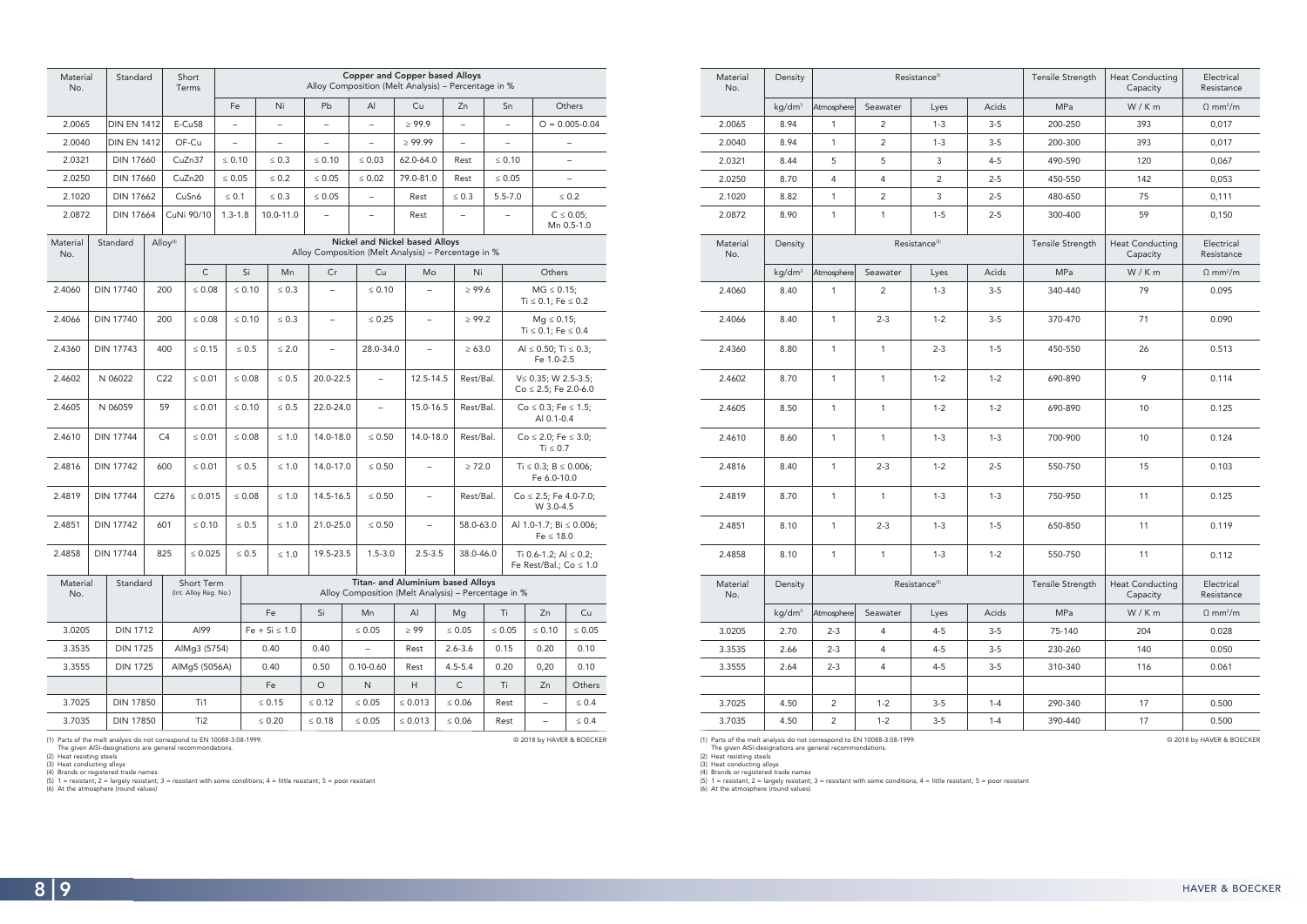| Material<br>No. | Density            |                |                | Resistance <sup>5)</sup>  |         | Tensile Strength | <b>Heat Conducting</b><br>Capacity | Electrical<br>Resistance    |
|-----------------|--------------------|----------------|----------------|---------------------------|---------|------------------|------------------------------------|-----------------------------|
|                 | kg/dm <sup>3</sup> | Atmosphere     | Seawater       | Lyes                      | Acids   | MPa              | W/Km                               | $\Omega$ mm <sup>2</sup> /m |
| 2.0065          | 8.94               | $\mathbf{1}$   | $\overline{2}$ | $1 - 3$                   | $3-5$   | 200-250          | 393                                | 0,017                       |
| 2.0040          | 8.94               | $\mathbf{1}$   | $\sqrt{2}$     | $1 - 3$                   | $3-5$   | 200-300          | 393                                | 0,017                       |
| 2.0321          | 8.44               | 5              | 5              | 3                         | $4 - 5$ | 490-590          | 120                                | 0,067                       |
| 2.0250          | 8.70               | 4              | $\overline{4}$ | $\overline{2}$            | $2 - 5$ | 450-550          | 142                                | 0,053                       |
| 2.1020          | 8.82               | $\mathbf{1}$   | $\overline{2}$ | 3                         | $2 - 5$ | 480-650          | 75                                 | 0,111                       |
| 2.0872          | 8.90               | $\mathbf{1}$   | $\mathbf{1}$   | $1 - 5$                   | $2 - 5$ | 300-400          | 59                                 | 0,150                       |
| Material<br>No. | Density            |                |                | Resistance <sup>(5)</sup> |         | Tensile Strength | <b>Heat Conducting</b><br>Capacity | Electrical<br>Resistance    |
|                 | kg/dm <sup>3</sup> | Atmosphere     | Seawater       | Lyes                      | Acids   | <b>MPa</b>       | W/Km                               | $\Omega$ mm <sup>2</sup> /m |
| 2.4060          | 8.40               | $\mathbf{1}$   | $\overline{2}$ | $1 - 3$                   | $3-5$   | 340-440          | 79                                 | 0.095                       |
| 2.4066          | 8.40               | $\mathbf{1}$   | $2 - 3$        | $1 - 2$                   | $3-5$   | 370-470          | 71                                 | 0.090                       |
| 2.4360          | 8.80               | $\mathbf{1}$   | $\mathbf{1}$   | $2 - 3$                   | $1 - 5$ | 450-550          | 26                                 | 0.513                       |
| 2.4602          | 8.70               | $\mathbf{1}$   | $\mathbf{1}$   | $1 - 2$                   | $1 - 2$ | 690-890          | 9                                  | 0.114                       |
| 2.4605          | 8.50               | $\mathbf{1}$   | $\mathbf{1}$   | $1 - 2$                   | $1 - 2$ | 690-890          | 10                                 | 0.125                       |
| 2.4610          | 8.60               | 1              | $\mathbf{1}$   | $1 - 3$                   | $1 - 3$ | 700-900          | 10                                 | 0.124                       |
| 2.4816          | 8.40               | $\mathbf{1}$   | $2 - 3$        | $1 - 2$                   | $2 - 5$ | 550-750          | 15                                 | 0.103                       |
| 2.4819          | 8.70               | $\mathbf{1}$   | $\mathbf{1}$   | $1 - 3$                   | $1 - 3$ | 750-950          | 11                                 | 0.125                       |
| 2.4851          | 8.10               | $\mathbf{1}$   | $2 - 3$        | $1 - 3$                   | $1 - 5$ | 650-850          | 11                                 | 0.119                       |
| 2.4858          | 8.10               | 1              | $\mathbf{1}$   | $1 - 3$                   | $1 - 2$ | 550-750          | 11                                 | 0.112                       |
| Material<br>No. | Density            |                |                | Resistance <sup>(5)</sup> |         | Tensile Strength | Electrical<br>Resistance           |                             |
|                 | kg/dm <sup>3</sup> | Atmosphere     | Seawater       | Lyes                      | Acids   | MPa              | W/Km                               | $\Omega$ mm <sup>2</sup> /m |
| 3.0205          | 2.70               | $2 - 3$        | 4              | $4 - 5$                   | $3 - 5$ | 75-140           | 204                                | 0.028                       |
| 3.3535          | 2.66               | $2 - 3$        | $\overline{4}$ | $4 - 5$                   | $3-5$   | 230-260          | 140                                | 0.050                       |
| 3.3555          | 2.64               | $2 - 3$        | $\overline{4}$ | $4 - 5$                   | $3-5$   | 310-340          | 116                                | 0.061                       |
|                 |                    |                |                |                           |         |                  |                                    |                             |
| 3.7025          | 4.50               | $\sqrt{2}$     | $1 - 2$        | $3-5$                     | $1 - 4$ | 290-340          | 17                                 | 0.500                       |
| 3.7035          | 4.50               | $\overline{c}$ | $1 - 2$        | $3 - 5$                   | $1 - 4$ | 390-440<br>17    |                                    | 0.500                       |

(1) Parts of the melt analysis do not correspond to EN 10088-3:08-1999.<br>
The given AISI-designtations are general recommondations.<br>
(2) Heat resisting steels<br>
(3) Heat conducting alloys<br>
(4) Brands or registered trade name

© 2018 by HAVER & BOECKER

| Material<br>No. |  | Standard           |                                                 | Short<br>Terms  | <b>Copper and Copper based Alloys</b><br>Alloy Composition (Melt Analysis) - Percentage in % |             |                          |                          |                                                                                          |                          |                                                                                              |             |                                         |           |                                                          |                                                        |                                                |  |
|-----------------|--|--------------------|-------------------------------------------------|-----------------|----------------------------------------------------------------------------------------------|-------------|--------------------------|--------------------------|------------------------------------------------------------------------------------------|--------------------------|----------------------------------------------------------------------------------------------|-------------|-----------------------------------------|-----------|----------------------------------------------------------|--------------------------------------------------------|------------------------------------------------|--|
|                 |  |                    |                                                 |                 | Fe                                                                                           |             | Ni                       | Pb                       |                                                                                          | $\mathsf{A}$             | Cu                                                                                           |             | Zn                                      |           | Sn                                                       |                                                        | Others                                         |  |
| 2.0065          |  | <b>DIN EN 1412</b> |                                                 | $E-Cu58$        | $\overline{\phantom{a}}$                                                                     |             | $\qquad \qquad -$        | $\qquad \qquad -$        |                                                                                          | $\qquad \qquad -$        | $\geq 99.9$                                                                                  |             | $\overline{\phantom{0}}$                |           | $\overline{\phantom{0}}$                                 |                                                        | $O = 0.005 - 0.04$                             |  |
| 2.0040          |  | <b>DIN EN 1412</b> |                                                 | OF-Cu           | $\overline{\phantom{a}}$                                                                     |             | $\overline{\phantom{0}}$ | $\qquad \qquad -$        |                                                                                          | $\equiv$                 | $\geq 99.99$                                                                                 |             | $\equiv$                                |           |                                                          |                                                        |                                                |  |
| 2.0321          |  | <b>DIN 17660</b>   |                                                 | CuZn37          | $\leq 0.10$                                                                                  |             | $\leq 0.3$               | $\leq 0.10$              |                                                                                          | $\leq 0.03$              | 62.0-64.0                                                                                    |             | Rest                                    |           | $\leq 0.10$                                              |                                                        | $\overline{\phantom{0}}$                       |  |
| 2.0250          |  | <b>DIN 17660</b>   |                                                 | CuZn20          | $\leq 0.05$                                                                                  |             | $\leq 0.2$               | $\leq 0.05$              |                                                                                          | $\leq 0.02$              | 79.0-81.0                                                                                    |             | Rest                                    |           | $\leq 0.05$                                              |                                                        | $\overline{\phantom{0}}$                       |  |
| 2.1020          |  | <b>DIN 17662</b>   |                                                 | CuSn6           | $\leq 0.1$                                                                                   |             | $\leq 0.3$               | $\leq 0.05$              |                                                                                          | $\overline{\phantom{0}}$ | Rest                                                                                         |             | $\leq 0.3$                              |           | $5.5 - 7.0$                                              |                                                        | $\leq 0.2$                                     |  |
| 2.0872          |  | <b>DIN 17664</b>   |                                                 | CuNi 90/10      | $1.3 - 1.8$                                                                                  |             | 10.0-11.0                | $\equiv$                 |                                                                                          | $\overline{\phantom{0}}$ | Rest                                                                                         |             |                                         |           |                                                          |                                                        | $C \le 0.05$ ;<br>Mn 0.5-1.0                   |  |
| Material<br>No. |  | Standard           | Alloy <sup>(4)</sup>                            |                 |                                                                                              |             |                          |                          |                                                                                          |                          | <b>Nickel and Nickel based Alloys</b><br>Alloy Composition (Melt Analysis) - Percentage in % |             |                                         |           |                                                          |                                                        |                                                |  |
|                 |  |                    |                                                 | $\mathsf C$     |                                                                                              | Si          | Mn                       | Cr                       |                                                                                          | Cu                       | Mo                                                                                           |             | Ni                                      |           | Others                                                   |                                                        |                                                |  |
| 2.4060          |  | <b>DIN 17740</b>   | 200                                             | $\leq 0.08$     |                                                                                              | $\leq 0.10$ | $\leq 0.3$               | $\overline{\phantom{0}}$ |                                                                                          | $\leq 0.10$              |                                                                                              |             | $\geq 99.6$                             |           |                                                          | $MG \le 0.15$ ;<br>Ti $\leq 0.1$ ; Fe $\leq 0.2$       |                                                |  |
| 2.4066          |  | <b>DIN 17740</b>   | 200                                             | $\leq 0.08$     |                                                                                              | $\leq 0.10$ | $\leq 0.3$               |                          |                                                                                          | $\leq 0.25$              |                                                                                              |             | $\geq 99.2$                             |           |                                                          | $Mq \le 0.15$ ;<br>Ti $\leq 0.1$ ; Fe $\leq 0.4$       |                                                |  |
| 2.4360          |  | <b>DIN 17743</b>   | 400                                             | $\leq 0.15$     |                                                                                              | $\leq 0.5$  | $\leq 2.0$               | $\equiv$                 |                                                                                          | 28.0-34.0                | $\equiv$                                                                                     |             | $\geq 63.0$                             |           |                                                          |                                                        | Al $\leq$ 0.50; Ti $\leq$ 0.3;<br>Fe 1.0-2.5   |  |
| 2.4602          |  | N 06022            | C <sub>22</sub>                                 | $\leq 0.01$     |                                                                                              | $\leq 0.08$ | $\leq 0.5$               | 20.0-22.5                |                                                                                          | $\qquad \qquad -$        | 12.5-14.5                                                                                    |             | Rest/Bal.                               |           |                                                          | $V \le 0.35$ ; W 2.5-3.5;<br>$Co \le 2.5$ ; Fe 2.0-6.0 |                                                |  |
| 2.4605          |  | N 06059            | 59                                              | $\leq 0.01$     |                                                                                              | $\leq 0.10$ | $\leq 0.5$               | 22.0-24.0                | $\overline{\phantom{0}}$                                                                 |                          | 15.0-16.5                                                                                    |             | Rest/Bal.                               |           | $Co \le 0.3$ ; Fe $\le 1.5$ ;<br>Al 0.1-0.4              |                                                        |                                                |  |
| 2.4610          |  | <b>DIN 17744</b>   | C <sub>4</sub>                                  | $\leq 0.01$     | $\leq 0.08$                                                                                  |             | $\leq 1.0$               | 14.0-18.0                |                                                                                          | $\leq 0.50$              | 14.0-18.0                                                                                    |             | Rest/Bal.                               |           |                                                          | $Co \le 2.0$ ; Fe $\le 3.0$ ;<br>$Ti \leq 0.7$         |                                                |  |
| 2.4816          |  | <b>DIN 17742</b>   | 600                                             | $\leq 0.01$     |                                                                                              | $\leq 0.5$  | $\leq 1.0$               | 14.0-17.0                |                                                                                          | $\leq 0.50$              |                                                                                              |             | $\geq 72.0$                             |           | Ti $\leq$ 0.3; B $\leq$ 0.006;<br>Fe 6.0-10.0            |                                                        |                                                |  |
| 2.4819          |  | <b>DIN 17744</b>   | C276                                            | $\leq 0.015$    |                                                                                              | $\leq 0.08$ | $\leq 1.0$               | 14.5-16.5                |                                                                                          | $\leq 0.50$              | $\overline{\phantom{0}}$                                                                     |             | Rest/Bal.<br>$Co \le 2.5$ ; Fe 4.0-7.0; |           | W 3.0-4.5                                                |                                                        |                                                |  |
| 2.4851          |  | <b>DIN 17742</b>   | 601                                             | $\leq 0.10$     |                                                                                              | $\leq 0.5$  | $\leq 1.0$               | 21.0-25.0                |                                                                                          | $\leq 0.50$              |                                                                                              |             |                                         | 58.0-63.0 |                                                          |                                                        | Al 1.0-1.7; Bi $\leq$ 0.006;<br>$Fe \leq 18.0$ |  |
| 2.4858          |  | <b>DIN 17744</b>   | 825                                             | $\leq 0.025$    |                                                                                              | $\leq 0.5$  | $\leq 1.0$               | 19.5-23.5                |                                                                                          | $1.5 - 3.0$              | $2.5 - 3.5$                                                                                  |             | 38.0-46.0                               |           | Ti 0.6-1.2; Al $\leq$ 0.2;<br>Fe Rest/Bal.; $Co \le 1.0$ |                                                        |                                                |  |
| Material<br>No. |  |                    | Standard<br>Short Term<br>(Int. Alloy Reg. No.) |                 |                                                                                              |             |                          |                          | Titan- and Aluminium based Alloys<br>Alloy Composition (Melt Analysis) - Percentage in % |                          |                                                                                              |             |                                         |           |                                                          |                                                        |                                                |  |
|                 |  |                    |                                                 |                 |                                                                                              |             | Fe                       | Si                       |                                                                                          | Mn                       | Al                                                                                           |             | Mg                                      |           | Ti                                                       | Zn                                                     | Cu                                             |  |
| 3.0205          |  | <b>DIN 1712</b>    |                                                 | Al99            |                                                                                              |             | $Fe + Si \leq 1.0$       |                          |                                                                                          | $\leq 0.05$              | $\geq 99$                                                                                    | $\leq 0.05$ |                                         |           | $\leq 0.05$                                              | $\leq 0.10$                                            | $\leq 0.05$                                    |  |
| 3.3535          |  | <b>DIN 1725</b>    |                                                 | AlMg3 (5754)    |                                                                                              | 0.40        |                          | 0.40                     |                                                                                          |                          | Rest                                                                                         | $2.6 - 3.6$ |                                         |           | 0.15                                                     | 0.20                                                   | 0.10                                           |  |
| 3.3555          |  | <b>DIN 1725</b>    |                                                 |                 | AlMg5 (5056A)                                                                                |             | 0.40                     | 0.50                     |                                                                                          | $0.10 - 0.60$            | Rest                                                                                         |             | $4.5 - 5.4$                             |           | 0.20                                                     | 0,20                                                   | 0.10                                           |  |
|                 |  |                    |                                                 |                 |                                                                                              |             | Fe                       | $\circ$                  |                                                                                          | N                        | H.                                                                                           |             | $\mathsf{C}$                            |           | Ti                                                       | Zn                                                     | Others                                         |  |
| 3.7025          |  | <b>DIN 17850</b>   |                                                 | Ti1             |                                                                                              |             | $\leq 0.15$              | $\leq 0.12$              |                                                                                          | $\leq 0.05$              | $\leq 0.013$                                                                                 |             | $\leq 0.06$                             |           | Rest                                                     | -                                                      | $\leq 0.4$                                     |  |
| 3.7035          |  | <b>DIN 17850</b>   |                                                 | Ti <sub>2</sub> |                                                                                              | $\leq 0.20$ |                          | $\leq 0.18$              |                                                                                          | $\leq 0.05$              | $\leq 0.013$                                                                                 |             | $\leq 0.06$                             |           | Rest                                                     |                                                        | $\leq 0.4$                                     |  |

(1) Parts of the melt analysis do not correspond to EN 10088-3:08-1999.<br>
The given AISI-designations are general recommondations.<br>
(2) Heat resisting steels<br>
(3) Heat conducting alloys<br>
(3) 1 = resistant; 2 = largely resis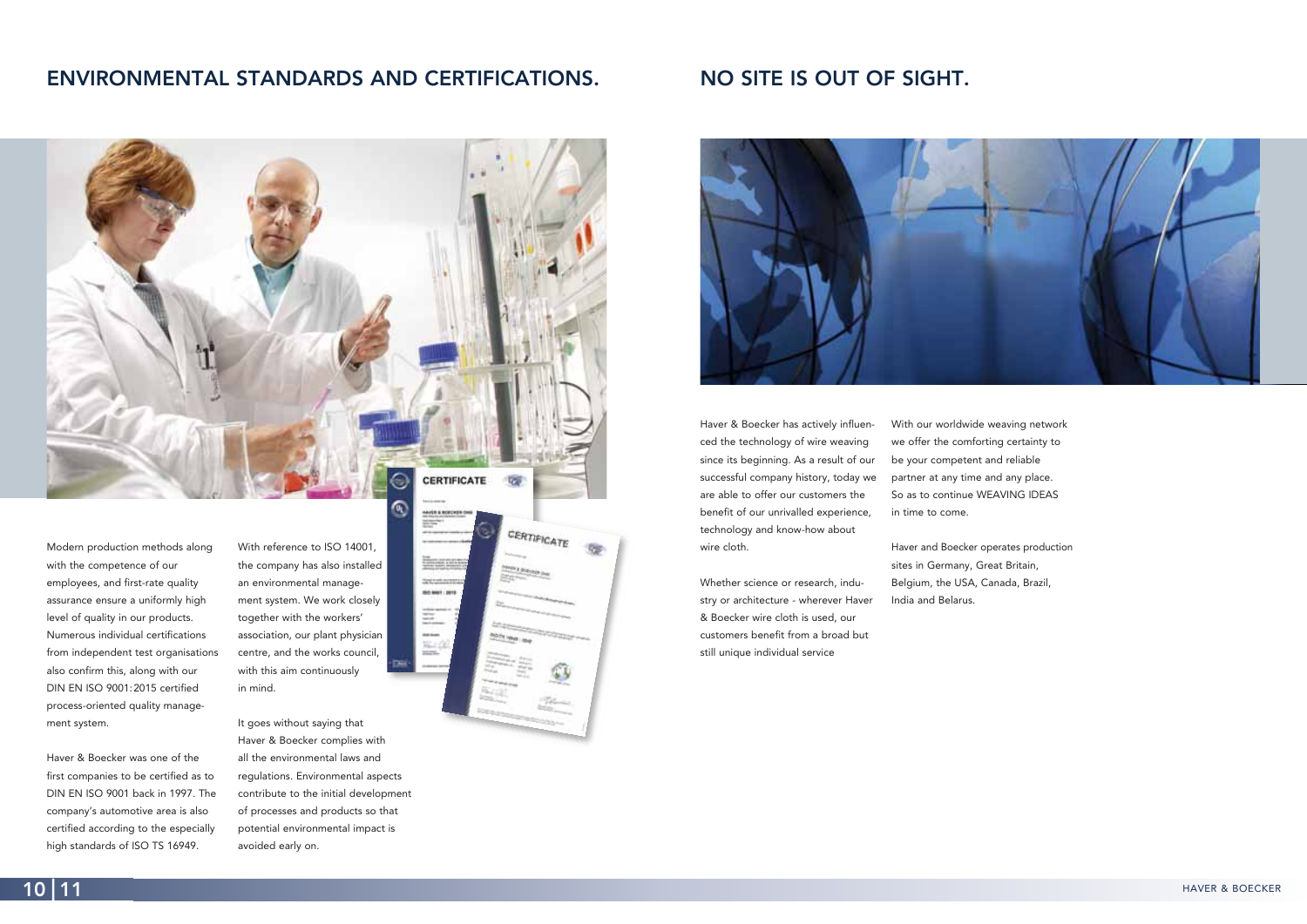# **NO SITE IS OUT OF SIGHT.**



With our worldwide weaving network we offer the comforting certainty to be your competent and reliable partner at any time and any place. So as to continue WEAVING IDEAS in time to come.

Haver and Boecker operates production sites in Germany, Great Britain, Belgium, the USA, Canada, Brazil, India and Belarus.

Haver & Boecker has actively influenced the technology of wire weaving since its beginning. As a result of our successful company history, today we are able to offer our customers the benefit of our unrivalled experience, technology and know-how about wire cloth.

Whether science or research, industry or architecture - wherever Haver & Boecker wire cloth is used, our customers benefit from a broad but still unique individual service

# **ENVIRONMENTAL STANDARDS AND CERTIFICATIONS.**



With reference to ISO 14001, the company has also installed an environmental management system. We work closely together with the workers' association, our plant physician centre, and the works council, with this aim continuously in mind.

It goes without saying that Haver & Boecker complies with all the environmental laws and regulations. Environmental aspects contribute to the initial development of processes and products so that potential environmental impact is avoided early on.



≡

W.

Modern production methods along with the competence of our employees, and first-rate quality assurance ensure a uniformly high level of quality in our products. Numerous individual certifications from independent test organisations also confirm this, along with our DIN EN ISO 9001:2015 certified process-oriented quality management system.

Haver & Boecker was one of the first companies to be certified as to DIN EN ISO 9001 back in 1997. The company's automotive area is also certified according to the especially high standards of ISO TS 16949.